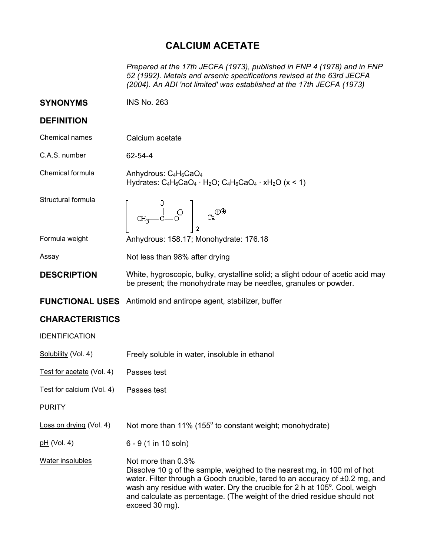## **CALCIUM ACETATE**

*Prepared at the 17th JECFA (1973), published in FNP 4 (1978) and in FNP 52 (1992). Metals and arsenic specifications revised at the 63rd JECFA (2004). An ADI 'not limited' was established at the 17th JECFA (1973)* 

| <b>SYNONYMS</b>           | <b>INS No. 263</b>                                                                                                                                 |
|---------------------------|----------------------------------------------------------------------------------------------------------------------------------------------------|
| <b>DEFINITION</b>         |                                                                                                                                                    |
| Chemical names            | Calcium acetate                                                                                                                                    |
| C.A.S. number             | 62-54-4                                                                                                                                            |
| Chemical formula          | Anhydrous: $C_4H_6CaO_4$<br>Hydrates: $C_4H_6CaO_4 \cdot H_2O$ ; $C_4H_6CaO_4 \cdot xH_2O$ (x < 1)                                                 |
| Structural formula        | $\begin{vmatrix} 0 & \frac{1}{2} & \frac{1}{2} & \frac{1}{2} \\ 0 & \frac{1}{2} & \frac{1}{2} & \frac{1}{2} \end{vmatrix}$                         |
| Formula weight            | Anhydrous: 158.17; Monohydrate: 176.18                                                                                                             |
| Assay                     | Not less than 98% after drying                                                                                                                     |
| <b>DESCRIPTION</b>        | White, hygroscopic, bulky, crystalline solid; a slight odour of acetic acid may<br>be present; the monohydrate may be needles, granules or powder. |
|                           | <b>FUNCTIONAL USES</b> Antimold and antirope agent, stabilizer, buffer                                                                             |
| <b>CHARACTERISTICS</b>    |                                                                                                                                                    |
| <b>IDENTIFICATION</b>     |                                                                                                                                                    |
| Solubility (Vol. 4)       | Freely soluble in water, insoluble in ethanol                                                                                                      |
| Test for acetate (Vol. 4) | Passes test                                                                                                                                        |
| Test for calcium (Vol. 4) | Passes test                                                                                                                                        |
| <b>PURITY</b>             |                                                                                                                                                    |
| Loss on drying (Vol. 4)   | Not more than 11% (155° to constant weight; monohydrate)                                                                                           |
| $pH$ (Vol. 4)             | 6 - 9 (1 in 10 soln)                                                                                                                               |

Water insolubles Not more than  $0.3\%$ Dissolve 10 g of the sample, weighed to the nearest mg, in 100 ml of hot water. Filter through a Gooch crucible, tared to an accuracy of ±0.2 mg, and wash any residue with water. Dry the crucible for 2 h at 105 $^{\circ}$ . Cool, weigh and calculate as percentage. (The weight of the dried residue should not exceed 30 mg).